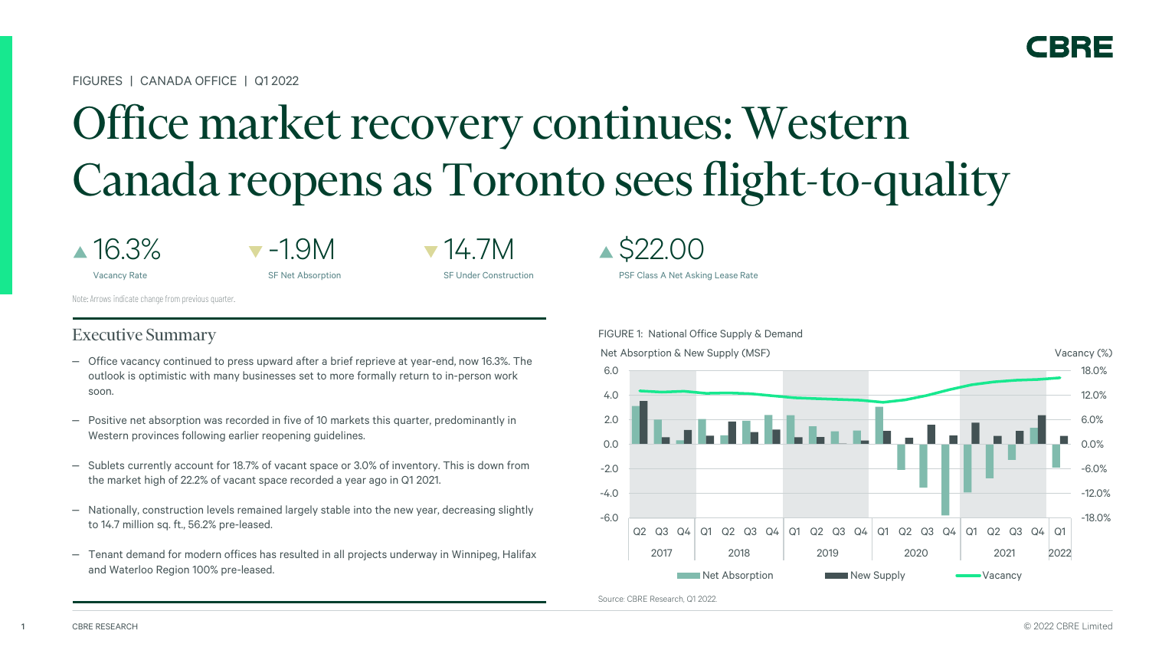FIGURES | CANADA OFFICE | Q1 2022

# Office market recovery continues: Western Canada reopens as Toronto sees flight-to-quality

16.3%

 $\blacktriangledown$  -1.9M

Vacancy Rate

SF Net Absorption

 $\blacktriangledown$ 14.7M

SF Under Construction

Note: Arrows indicate change from previous quarter.

### Executive Summary

- ‒ Office vacancy continued to press upward after a brief reprieve at year-end, now 16.3%. The outlook is optimistic with many businesses set to more formally return to in-person work soon.
- ‒ Positive net absorption was recorded in five of 10 markets this quarter, predominantly in Western provinces following earlier reopening guidelines.
- ‒ Sublets currently account for 18.7% of vacant space or 3.0% of inventory. This is down from the market high of 22.2% of vacant space recorded a year ago in Q1 2021.
- ‒ Nationally, construction levels remained largely stable into the new year, decreasing slightly to 14.7 million sq. ft., 56.2% pre-leased.
- ‒ Tenant demand for modern offices has resulted in all projects underway in Winnipeg, Halifax and Waterloo Region 100% pre-leased.

 $\triangle$  \$22.00

PSF Class A Net Asking Lease Rate



Source: CBRE Research, Q1 2022.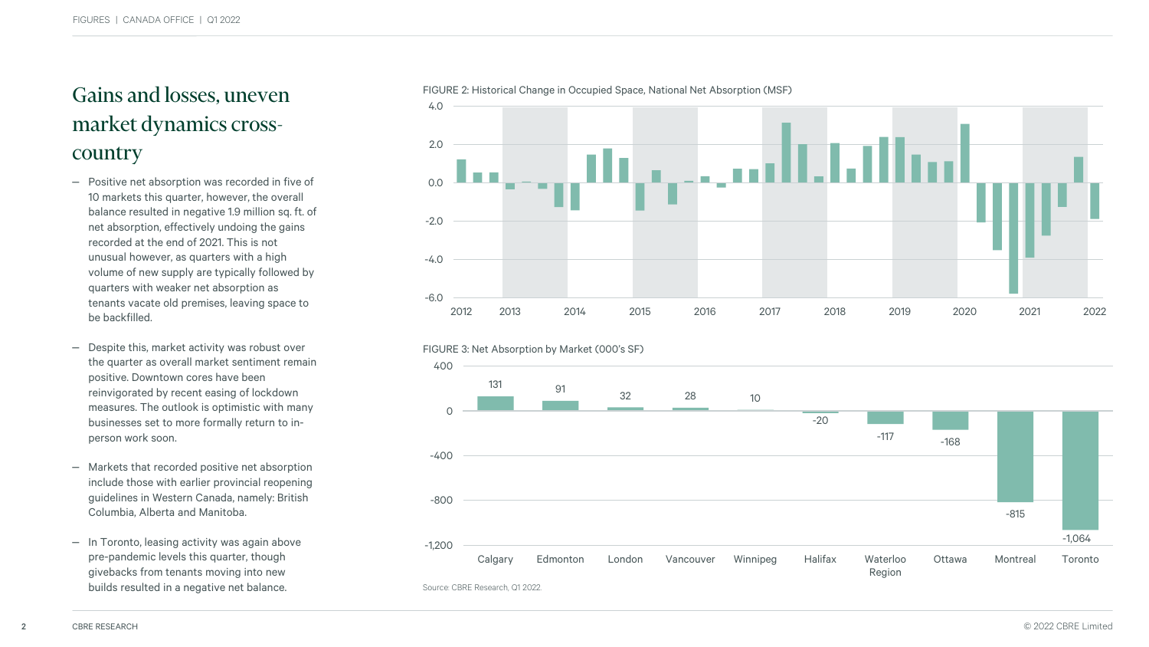### Gains and losses, uneven market dynamics crosscountry

- Positive net absorption was recorded in five of 10 markets this quarter, however, the overall balance resulted in negative 1.9 million sq. ft. of net absorption, effectively undoing the gains recorded at the end of 2021. This is not unusual however, as quarters with a high volume of new supply are typically followed by quarters with weaker net absorption as tenants vacate old premises, leaving space to be backfilled.
- Despite this, market activity was robust over the quarter as overall market sentiment remain positive. Downtown cores have been reinvigorated by recent easing of lockdown measures. The outlook is optimistic with many businesses set to more formally return to inperson work soon.
- Markets that recorded positive net absorption include those with earlier provincial reopening guidelines in Western Canada, namely: British Columbia, Alberta and Manitoba.
- In Toronto, leasing activity was again above pre-pandemic levels this quarter, though givebacks from tenants moving into new builds resulted in a negative net balance.





-1,064 -1,200

Region



Calgary Edmonton London Vancouver Winnipeg Halifax Waterloo

#### FIGURE 2: Historical Change in Occupied Space, National Net Absorption (MSF)

Source: CBRE Research, Q1 2022.

-800



-815

Ottawa Montreal Toronto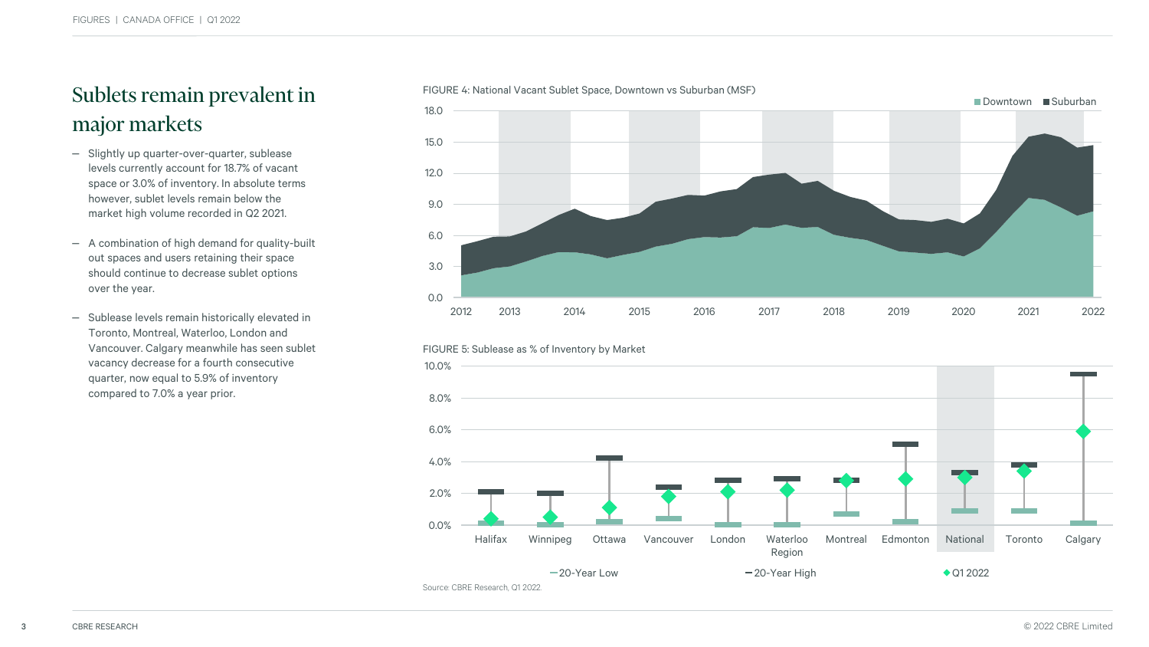### Sublets remain prevalent in major markets

- Slightly up quarter-over-quarter, sublease levels currently account for 18.7% of vacant space or 3.0% of inventory. In absolute terms however, sublet levels remain below the market high volume recorded in Q2 2021.
- A combination of high demand for quality-built out spaces and users retaining their space should continue to decrease sublet options over the year.
- Sublease levels remain historically elevated in Toronto, Montreal, Waterloo, London and Vancouver. Calgary meanwhile has seen sublet vacancy decrease for a fourth consecutive quarter, now equal to 5.9% of inventory compared to 7.0% a year prior.





#### FIGURE 5: Sublease as % of Inventory by Market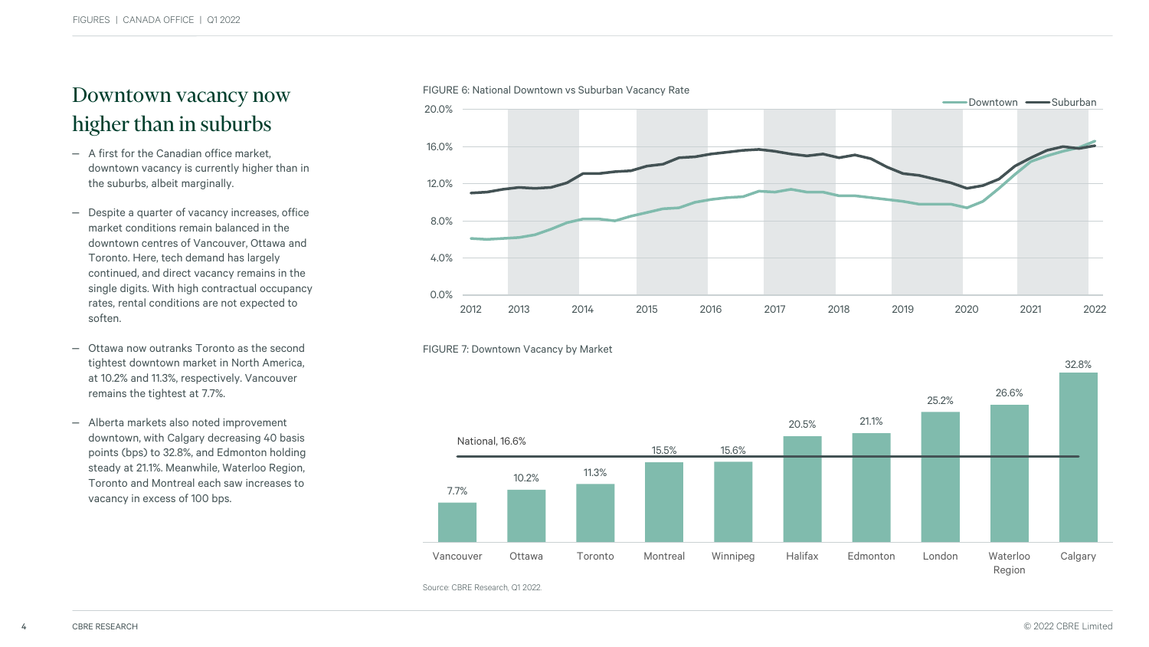### Downtown vacancy now higher than in suburbs

- A first for the Canadian office market. downtown vacancy is currently higher than in the suburbs, albeit marginally.
- Despite a quarter of vacancy increases, office market conditions remain balanced in the downtown centres of Vancouver, Ottawa and Toronto. Here, tech demand has largely continued, and direct vacancy remains in the single digits. With high contractual occupancy rates, rental conditions are not expected to soften.
- ‒ Ottawa now outranks Toronto as the second tightest downtown market in North America, at 10.2% and 11.3%, respectively. Vancouver remains the tightest at 7.7%.
- Alberta markets also noted improvement downtown, with Calgary decreasing 40 basis points (bps) to 32.8%, and Edmonton holding steady at 21.1%. Meanwhile, Waterloo Region, Toronto and Montreal each saw increases to vacancy in excess of 100 bps.





### FIGURE 7: Downtown Vacancy by Market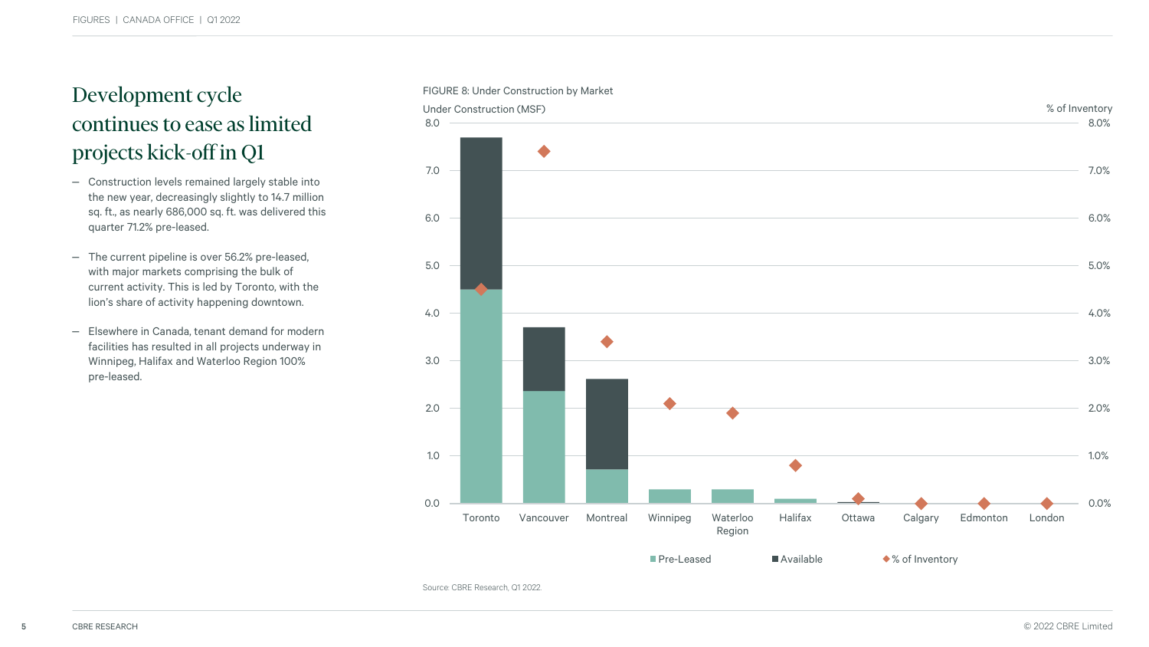## continues to ease as limited projects kick-off in Q1

- Construction levels remained largely stable into the new year, decreasingly slightly to 14.7 million sq. ft., as nearly 686,000 sq. ft. was delivered this quarter 71.2% pre-leased.
- The current pipeline is over 56.2% pre-leased, with major markets comprising the bulk of current activity. This is led by Toronto, with the lion's share of activity happening downtown.
- ‒ Elsewhere in Canada, tenant demand for modern facilities has resulted in all projects underway in Winnipeg, Halifax and Waterloo Region 100% pre-leased.



#### FIGURE 8: Under Construction by Market

Source: CBRE Research, Q1 2022.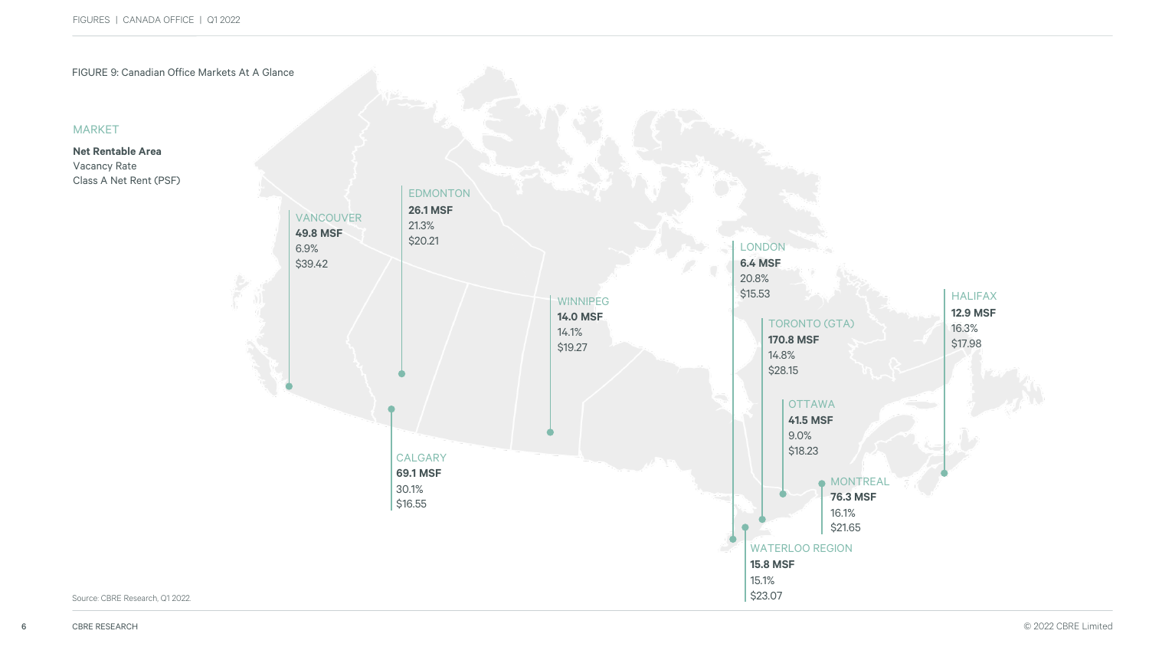

### MARKET

**Net Rentable Area** Vacancy Rate Class A Net Rent (PSF)

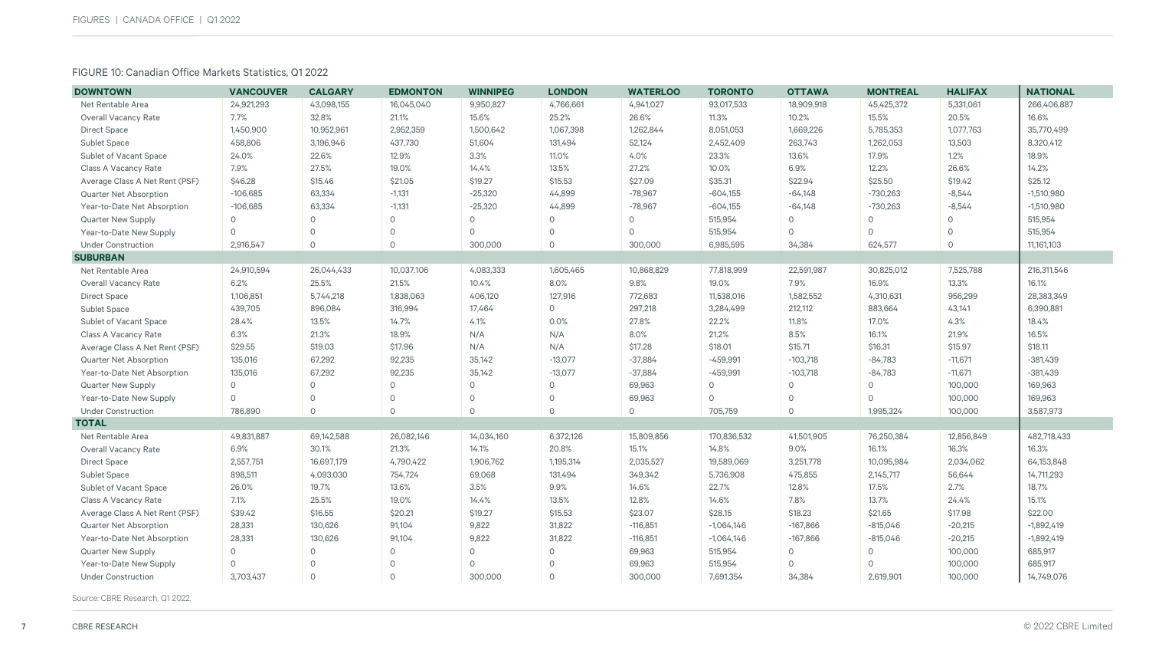### FIGURE 10: Canadian Office Markets Statistics, Q1 2022

| <b>DOWNTOWN</b>                | <b>VANCOUVER</b> | <b>CALGARY</b> | <b>EDMONTON</b> | <b>WINNIPEG</b> | <b>LONDON</b> | <b>WATERLOO</b> | <b>TORONTO</b> | <b>OTTAWA</b> | <b>MONTREAL</b> | <b>HALIFAX</b> | <b>NATIONAL</b> |
|--------------------------------|------------------|----------------|-----------------|-----------------|---------------|-----------------|----------------|---------------|-----------------|----------------|-----------------|
| Net Rentable Area              | 24,921,293       | 43,098,155     | 16,045,040      | 9,950,827       | 4,766,661     | 4,941,027       | 93,017,533     | 18,909,918    | 45,425,372      | 5,331,061      | 266,406,887     |
| <b>Overall Vacancy Rate</b>    | 7.7%             | 32.8%          | 21.1%           | 15.6%           | 25.2%         | 26.6%           | 11.3%          | 10.2%         | 15.5%           | 20.5%          | 16.6%           |
| <b>Direct Space</b>            | 1,450,900        | 10,952,961     | 2,952,359       | 1,500,642       | 1,067,398     | 1,262,844       | 8,051,053      | 1,669,226     | 5,785,353       | 1,077,763      | 35,770,499      |
| <b>Sublet Space</b>            | 458,806          | 3,196,946      | 437,730         | 51,604          | 131,494       | 52,124          | 2,452,409      | 263,743       | 1,262,053       | 13,503         | 8,320,412       |
| Sublet of Vacant Space         | 24.0%            | 22.6%          | 12.9%           | 3.3%            | 11.0%         | 4.0%            | 23.3%          | 13.6%         | 17.9%           | 1.2%           | 18.9%           |
| Class A Vacancy Rate           | 7.9%             | 27.5%          | 19.0%           | 14.4%           | 13.5%         | 27.2%           | 10.0%          | 6.9%          | 12.2%           | 26.6%          | 14.2%           |
| Average Class A Net Rent (PSF) | \$46.28          | \$15.46        | \$21.05         | \$19.27         | \$15.53       | \$27.09         | \$35.31        | \$22.94       | \$25.50         | \$19.42        | \$25.12         |
| Quarter Net Absorption         | $-106,685$       | 63,334         | $-1,131$        | $-25,320$       | 44,899        | $-78,967$       | $-604,155$     | $-64,148$     | $-730,263$      | $-8,544$       | $-1,510,980$    |
| Year-to-Date Net Absorption    | $-106,685$       | 63,334         | $-1,131$        | $-25,320$       | 44,899        | $-78,967$       | $-604,155$     | $-64,148$     | $-730,263$      | $-8,544$       | $-1,510,980$    |
| <b>Quarter New Supply</b>      | $\circ$          | $\Omega$       | 0               | $\Omega$        | $\circ$       | $\circ$         | 515,954        | $\Omega$      | $\circ$         | $\circ$        | 515,954         |
| Year-to-Date New Supply        | $\circ$          | $\circ$        | $\circ$         | $\Omega$        | $\circ$       | $\circ$         | 515,954        | $\Omega$      | $\Omega$        | $\Omega$       | 515,954         |
| <b>Under Construction</b>      | 2,916,547        | $\circ$        | $\circ$         | 300,000         | $\circ$       | 300,000         | 6,985,595      | 34,384        | 624,577         | $\circ$        | 11,161,103      |
| <b>SUBURBAN</b>                |                  |                |                 |                 |               |                 |                |               |                 |                |                 |
| Net Rentable Area              | 24,910,594       | 26,044,433     | 10,037,106      | 4,083,333       | 1,605,465     | 10,868,829      | 77,818,999     | 22,591,987    | 30,825,012      | 7,525,788      | 216,311,546     |
| <b>Overall Vacancy Rate</b>    | 6.2%             | 25.5%          | 21.5%           | 10.4%           | 8.0%          | 9.8%            | 19.0%          | 7.9%          | 16.9%           | 13.3%          | 16.1%           |
| <b>Direct Space</b>            | 1,106,851        | 5,744,218      | 1,838,063       | 406,120         | 127,916       | 772,683         | 11,538,016     | 1,582,552     | 4,310,631       | 956,299        | 28,383,349      |
| Sublet Space                   | 439,705          | 896,084        | 316,994         | 17,464          | $\circ$       | 297,218         | 3,284,499      | 212,112       | 883,664         | 43,141         | 6,390,881       |
| Sublet of Vacant Space         | 28.4%            | 13.5%          | 14.7%           | 4.1%            | 0.0%          | 27.8%           | 22.2%          | 11.8%         | 17.0%           | 4.3%           | 18.4%           |
| Class A Vacancy Rate           | 6.3%             | 21.3%          | 18.9%           | N/A             | N/A           | 8.0%            | 21.2%          | 8.5%          | 16.1%           | 21.9%          | 16.5%           |
| Average Class A Net Rent (PSF) | \$29.55          | \$19.03        | \$17.96         | N/A             | N/A           | \$17.28         | \$18.01        | \$15.71       | \$16.31         | \$15.97        | \$18.11         |
| Quarter Net Absorption         | 135,016          | 67,292         | 92,235          | 35,142          | $-13,077$     | $-37,884$       | $-459,991$     | $-103,718$    | $-84,783$       | $-11,671$      | $-381,439$      |
| Year-to-Date Net Absorption    | 135,016          | 67,292         | 92,235          | 35,142          | $-13,077$     | $-37,884$       | $-459,991$     | $-103,718$    | $-84,783$       | $-11,671$      | $-381,439$      |
| Quarter New Supply             | $\circ$          | $\circ$        | $\Omega$        | $\Omega$        | $\Omega$      | 69,963          | $\Omega$       | $\Omega$      | $\Omega$        | 100,000        | 169,963         |
| Year-to-Date New Supply        | $\circ$          | $\Omega$       | $\Omega$        | $\Omega$        | $\Omega$      | 69,963          | $\Omega$       | $\Omega$      | $\Omega$        | 100,000        | 169,963         |
| <b>Under Construction</b>      | 786,890          | $\Omega$       | $\circ$         | $\Omega$        | $\circ$       | $\circ$         | 705,759        | $\Omega$      | 1,995,324       | 100,000        | 3,587,973       |
| <b>TOTAL</b>                   |                  |                |                 |                 |               |                 |                |               |                 |                |                 |
| Net Rentable Area              | 49,831,887       | 69,142,588     | 26,082,146      | 14,034,160      | 6,372,126     | 15,809,856      | 170,836,532    | 41,501,905    | 76,250,384      | 12,856,849     | 482,718,433     |
| <b>Overall Vacancy Rate</b>    | 6.9%             | 30.1%          | 21.3%           | 14.1%           | 20.8%         | 15.1%           | 14.8%          | 9.0%          | 16.1%           | 16.3%          | 16.3%           |
| <b>Direct Space</b>            | 2,557,751        | 16,697,179     | 4,790,422       | 1,906,762       | 1,195,314     | 2,035,527       | 19,589,069     | 3,251,778     | 10,095,984      | 2,034,062      | 64,153,848      |
| <b>Sublet Space</b>            | 898,511          | 4,093,030      | 754,724         | 69,068          | 131,494       | 349,342         | 5,736,908      | 475,855       | 2,145,717       | 56,644         | 14,711,293      |
| Sublet of Vacant Space         | 26.0%            | 19.7%          | 13.6%           | 3.5%            | 9.9%          | 14.6%           | 22.7%          | 12.8%         | 17.5%           | 2.7%           | 18.7%           |
| Class A Vacancy Rate           | 7.1%             | 25.5%          | 19.0%           | 14.4%           | 13.5%         | 12.8%           | 14.6%          | 7.8%          | 13.7%           | 24.4%          | 15.1%           |
| Average Class A Net Rent (PSF) | \$39.42          | \$16.55        | \$20.21         | \$19.27         | \$15.53       | \$23.07         | \$28.15        | \$18.23       | \$21.65         | \$17.98        | \$22.00         |
| Quarter Net Absorption         | 28,331           | 130,626        | 91,104          | 9,822           | 31,822        | $-116,851$      | $-1,064,146$   | $-167,866$    | $-815,046$      | $-20,215$      | $-1,892,419$    |
| Year-to-Date Net Absorption    | 28,331           | 130,626        | 91,104          | 9,822           | 31,822        | $-116,851$      | $-1,064,146$   | $-167,866$    | $-815,046$      | $-20,215$      | $-1,892,419$    |
| Quarter New Supply             | 0                | $\circ$        | 0               | $\circ$         | $\circ$       | 69,963          | 515,954        | $\Omega$      | $\circ$         | 100,000        | 685,917         |
| Year-to-Date New Supply        | $\Omega$         | $\Omega$       | $\Omega$        | $\Omega$        | $\circ$       | 69,963          | 515,954        | $\Omega$      | $\Omega$        | 100,000        | 685,917         |
| <b>Under Construction</b>      | 3,703,437        | $\circ$        | $\Omega$        | 300,000         | $\Omega$      | 300,000         | 7,691,354      | 34,384        | 2,619,901       | 100,000        | 14,749,076      |

Source: CBRE Research, Q1 2022.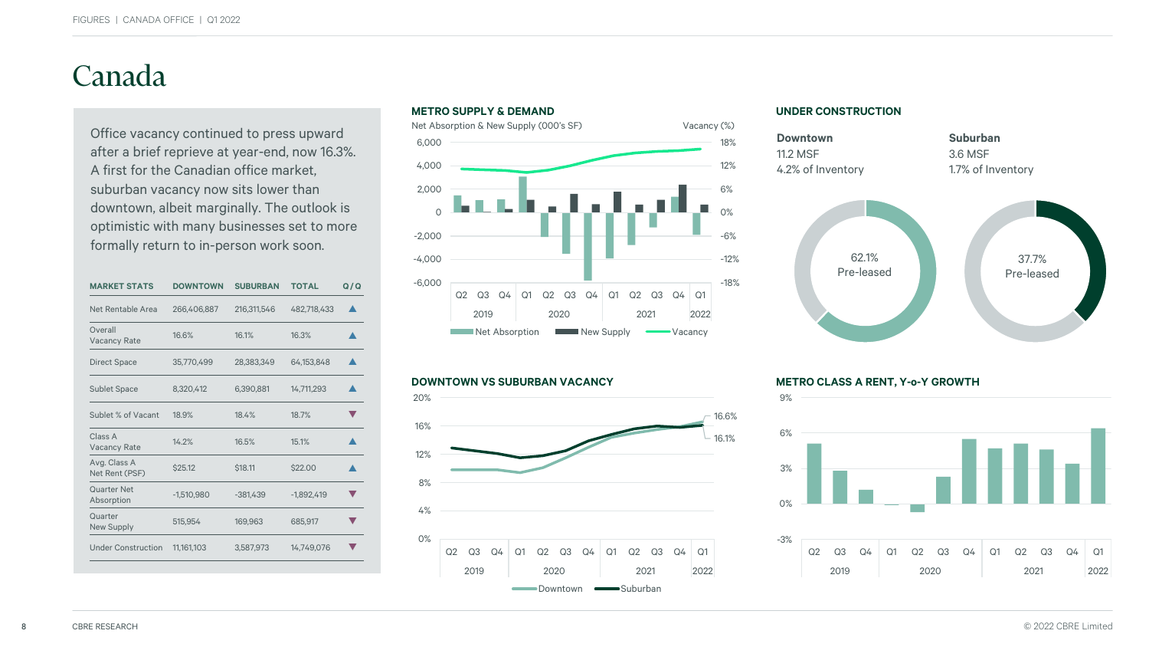## Canada

Office vacancy continued to press upward after a brief reprieve at year-end, now 16.3%. A first for the Canadian office market, suburban vacancy now sits lower than downtown, albeit marginally. The outlook is optimistic with many businesses set to more formally return to in-person work soon.

| <b>MARKET STATS</b>              | <b>DOWNTOWN</b> | <b>SUBURBAN</b> | <b>TOTAL</b> | Q/Q |
|----------------------------------|-----------------|-----------------|--------------|-----|
| Net Rentable Area                | 266,406,887     | 216,311,546     | 482,718,433  |     |
| Overall<br><b>Vacancy Rate</b>   | 16.6%           | 16.1%           | 16.3%        |     |
| <b>Direct Space</b>              | 35,770,499      | 28,383,349      | 64,153,848   |     |
| <b>Sublet Space</b>              | 8,320,412       | 6,390,881       | 14,711,293   |     |
| Sublet % of Vacant               | 18.9%           | 18.4%           | 18.7%        |     |
| Class A<br><b>Vacancy Rate</b>   | 14.2%           | 16.5%           | 15.1%        |     |
| Avg. Class A<br>Net Rent (PSF)   | \$25.12         | \$18.11         | \$22.00      |     |
| <b>Quarter Net</b><br>Absorption | $-1,510,980$    | $-381,439$      | $-1,892,419$ |     |
| Quarter<br><b>New Supply</b>     | 515,954         | 169,963         | 685,917      |     |
| <b>Under Construction</b>        | 11,161,103      | 3,587,973       | 14,749,076   |     |
|                                  |                 |                 |              |     |





#### **UNDER CONSTRUCTION**



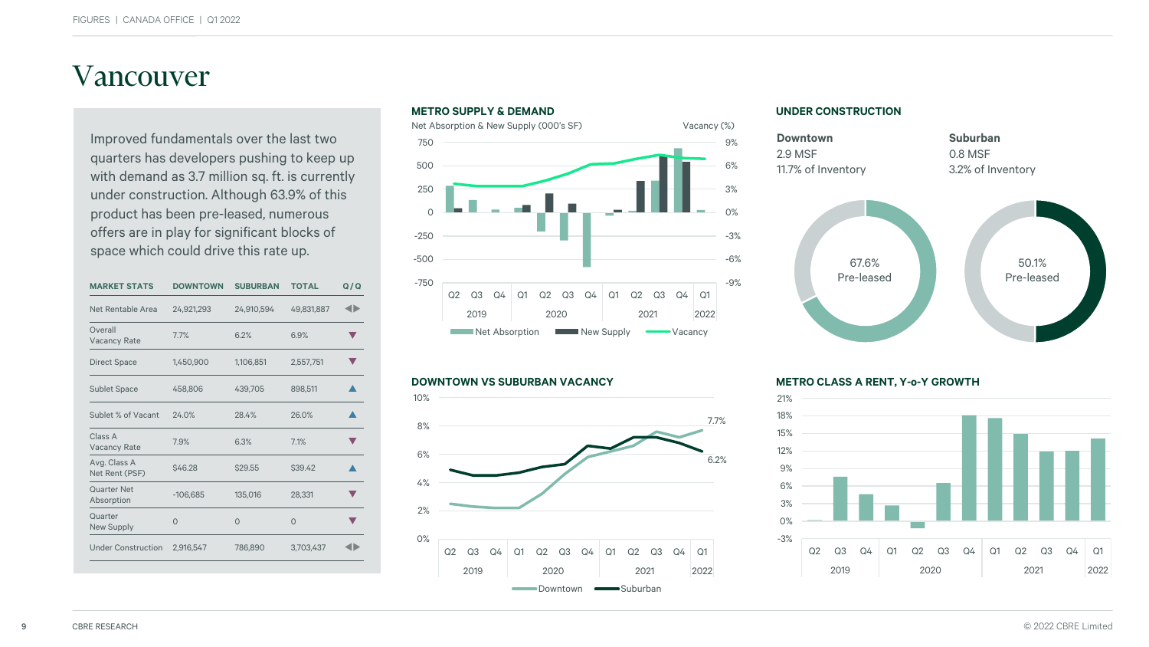### Vancouver

Improved fundamentals over the last two quarters has developers pushing to keep up with demand as 3.7 million sq. ft. is currently under construction. Although 63.9% of this product has been pre-leased, numerous offers are in play for significant blocks of space which could drive this rate up.

| <b>MARKET STATS</b>              | <b>DOWNTOWN</b> | <b>SUBURBAN</b> | <b>TOTAL</b> | Q/Q |
|----------------------------------|-----------------|-----------------|--------------|-----|
| Net Rentable Area                | 24,921,293      | 24,910,594      | 49.831.887   | ◢▶  |
| Overall<br><b>Vacancy Rate</b>   | 7.7%            | 6.2%            | 6.9%         |     |
| <b>Direct Space</b>              | 1,450,900       | 1,106,851       | 2,557,751    |     |
| <b>Sublet Space</b>              | 458,806         | 439,705         | 898,511      |     |
| Sublet % of Vacant               | 24.0%           | 28.4%           | 26.0%        |     |
| Class A<br><b>Vacancy Rate</b>   | 7.9%            | 6.3%            | 7.1%         |     |
| Avg. Class A<br>Net Rent (PSF)   | \$46.28         | \$29.55         | \$39.42      |     |
| <b>Quarter Net</b><br>Absorption | $-106,685$      | 135,016         | 28,331       |     |
| Quarter<br><b>New Supply</b>     | $\Omega$        | $\Omega$        | $\Omega$     |     |
| <b>Under Construction</b>        | 2,916,547       | 786,890         | 3,703,437    |     |
|                                  |                 |                 |              |     |



#### **DOWNTOWN VS SUBURBAN VACANCY METRO CLASS A RENT, Y-o-Y GROWTH**



#### **UNDER CONSTRUCTION**



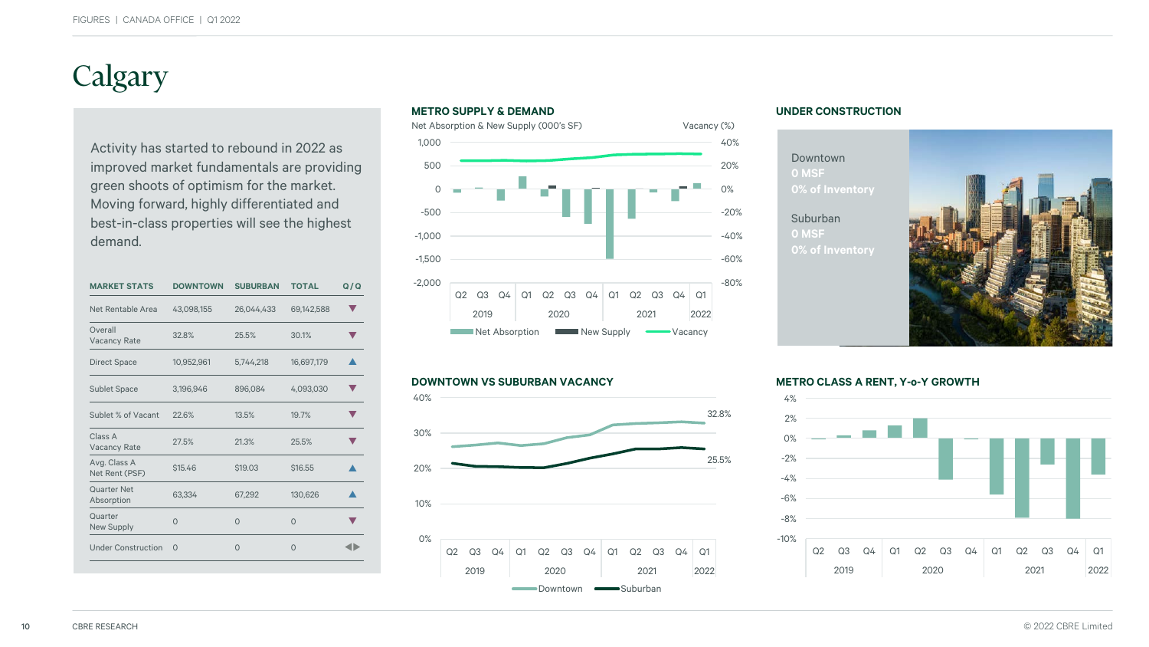## Calgary

Activity has started to rebound in 2022 as improved market fundamentals are providing green shoots of optimism for the market. Moving forward, highly differentiated and best-in-class properties will see the highest demand.

| <b>MARKET STATS</b>              | <b>DOWNTOWN</b> | <b>SUBURBAN</b> | <b>TOTAL</b> | Q/Q |
|----------------------------------|-----------------|-----------------|--------------|-----|
| Net Rentable Area                | 43,098,155      | 26,044,433      | 69,142,588   |     |
| Overall<br><b>Vacancy Rate</b>   | 32.8%           | 25.5%           | 30.1%        |     |
| <b>Direct Space</b>              | 10,952,961      | 5,744,218       | 16,697,179   |     |
| <b>Sublet Space</b>              | 3,196,946       | 896,084         | 4,093,030    |     |
| Sublet % of Vacant               | 22.6%           | 13.5%           | 19.7%        |     |
| Class A<br><b>Vacancy Rate</b>   | 27.5%           | 21.3%           | 25.5%        |     |
| Avg. Class A<br>Net Rent (PSF)   | \$15.46         | \$19.03         | \$16.55      |     |
| <b>Quarter Net</b><br>Absorption | 63,334          | 67,292          | 130,626      |     |
| Quarter<br><b>New Supply</b>     | $\Omega$        | $\Omega$        | $\Omega$     |     |
| <b>Under Construction</b>        | $\Omega$        | $\Omega$        | $\Omega$     |     |
|                                  |                 |                 |              |     |





### **UNDER CONSTRUCTION**

### Downtown **0 MSF**

### Suburban **0 MSF**



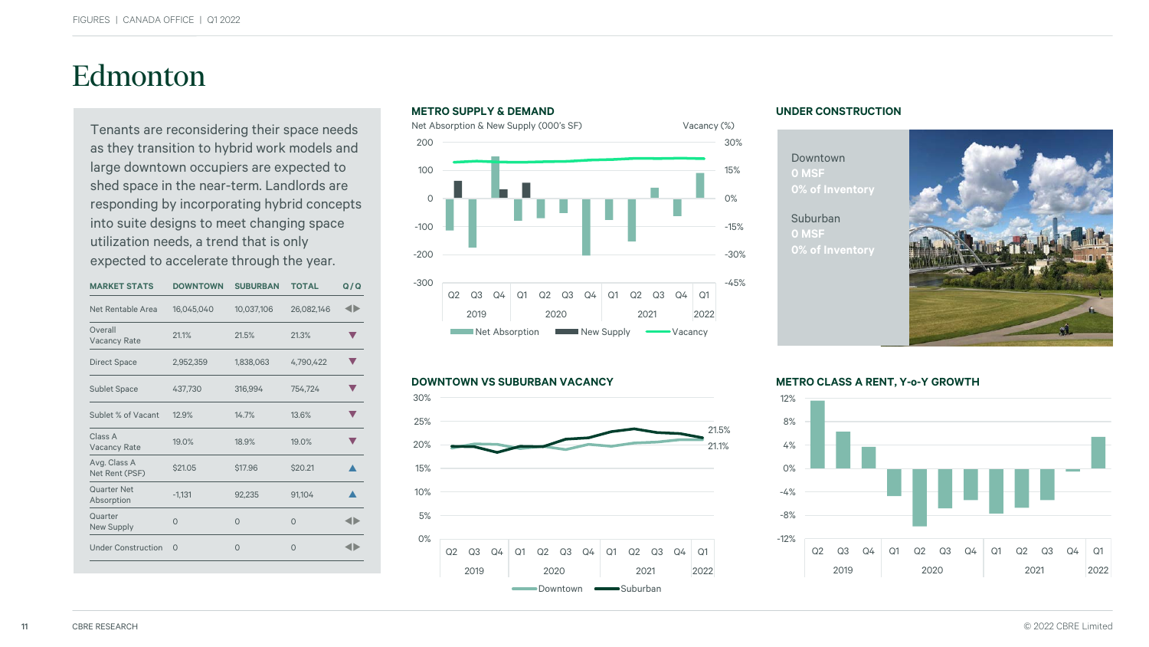## Edmonton

Tenants are reconsidering their space needs as they transition to hybrid work models and large downtown occupiers are expected to shed space in the near-term. Landlords are responding by incorporating hybrid concepts into suite designs to meet changing space utilization needs, a trend that is only expected to accelerate through the year.

| <b>MARKET STATS</b>            | <b>DOWNTOWN</b> | <b>SUBURBAN</b> | <b>TOTAL</b> | Q/Q |
|--------------------------------|-----------------|-----------------|--------------|-----|
| Net Rentable Area              | 16,045,040      | 10,037,106      | 26,082,146   |     |
| Overall<br><b>Vacancy Rate</b> | 21.1%           | 21.5%           | 21.3%        |     |
| <b>Direct Space</b>            | 2,952,359       | 1,838,063       | 4,790,422    |     |
| <b>Sublet Space</b>            | 437,730         | 316,994         | 754,724      |     |
| Sublet % of Vacant             | 12.9%           | 14.7%           | 13.6%        |     |
| Class A<br><b>Vacancy Rate</b> | 19.0%           | 18.9%           | 19.0%        |     |
| Avg. Class A<br>Net Rent (PSF) | \$21.05         | \$17.96         | \$20.21      |     |
| Quarter Net<br>Absorption      | $-1,131$        | 92,235          | 91,104       |     |
| Quarter<br>New Supply          | $\Omega$        | $\Omega$        | $\Omega$     |     |
| <b>Under Construction</b>      | $\Omega$        | $\Omega$        | $\Omega$     |     |
|                                |                 |                 |              |     |





#### **UNDER CONSTRUCTION**

Downtown **0 MSF**

Suburban **0 MSF**



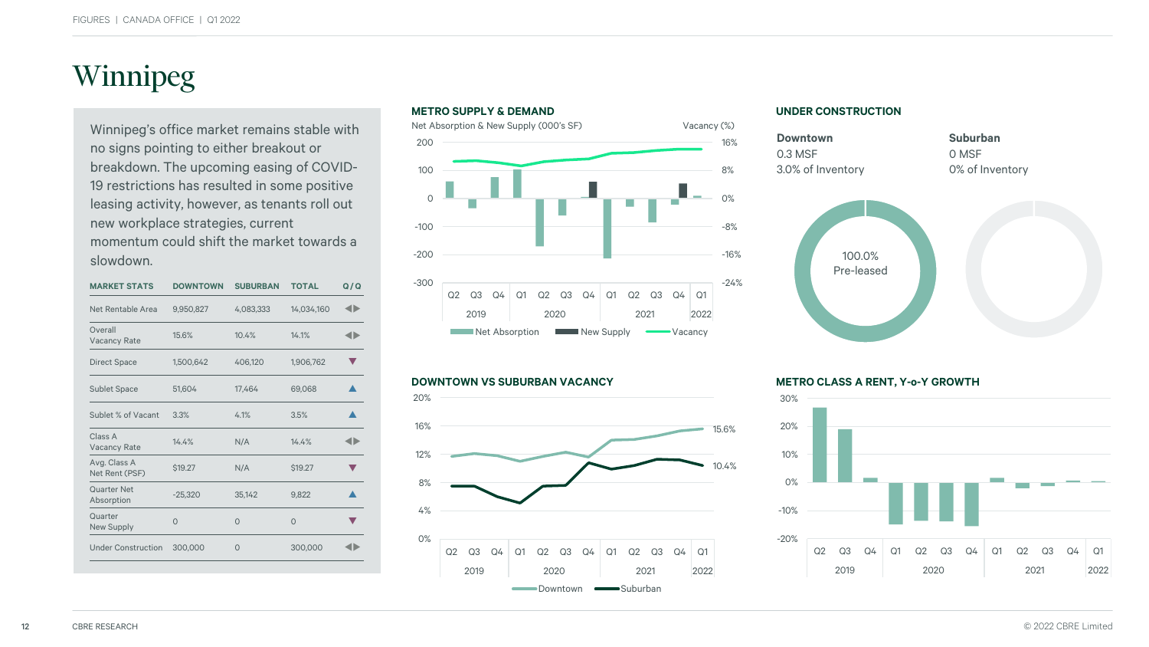## Winnipeg

Winnipeg's office market remains stable with no signs pointing to either breakout or breakdown. The upcoming easing of COVID-19 restrictions has resulted in some positive leasing activity, however, as tenants roll out new workplace strategies, current momentum could shift the market towards a slowdown.

| <b>MARKET STATS</b>            | <b>DOWNTOWN</b> | <b>SUBURBAN</b> | <b>TOTAL</b>   | Q/Q |
|--------------------------------|-----------------|-----------------|----------------|-----|
| Net Rentable Area              | 9,950,827       | 4,083,333       | 14,034,160     | ◢⋗  |
| Overall<br><b>Vacancy Rate</b> | 15.6%           | 10.4%           | 14.1%          |     |
| <b>Direct Space</b>            | 1,500,642       | 406,120         | 1,906,762      |     |
| <b>Sublet Space</b>            | 51,604          | 17,464          | 69,068         |     |
| Sublet % of Vacant             | 3.3%            | 4.1%            | 3.5%           |     |
| Class A<br><b>Vacancy Rate</b> | 14.4%           | N/A             | 14.4%          |     |
| Avg. Class A<br>Net Rent (PSF) | <b>\$19.27</b>  | N/A             | <b>\$19.27</b> |     |
| Quarter Net<br>Absorption      | $-25,320$       | 35,142          | 9,822          |     |
| Quarter<br><b>New Supply</b>   | $\Omega$        | $\Omega$        | $\Omega$       |     |
| <b>Under Construction</b>      | 300,000         | $\Omega$        | 300,000        |     |
|                                |                 |                 |                |     |



#### **DOWNTOWN VS SUBURBAN VACANCY METRO CLASS A RENT, Y-o-Y GROWTH**



#### **UNDER CONSTRUCTION**



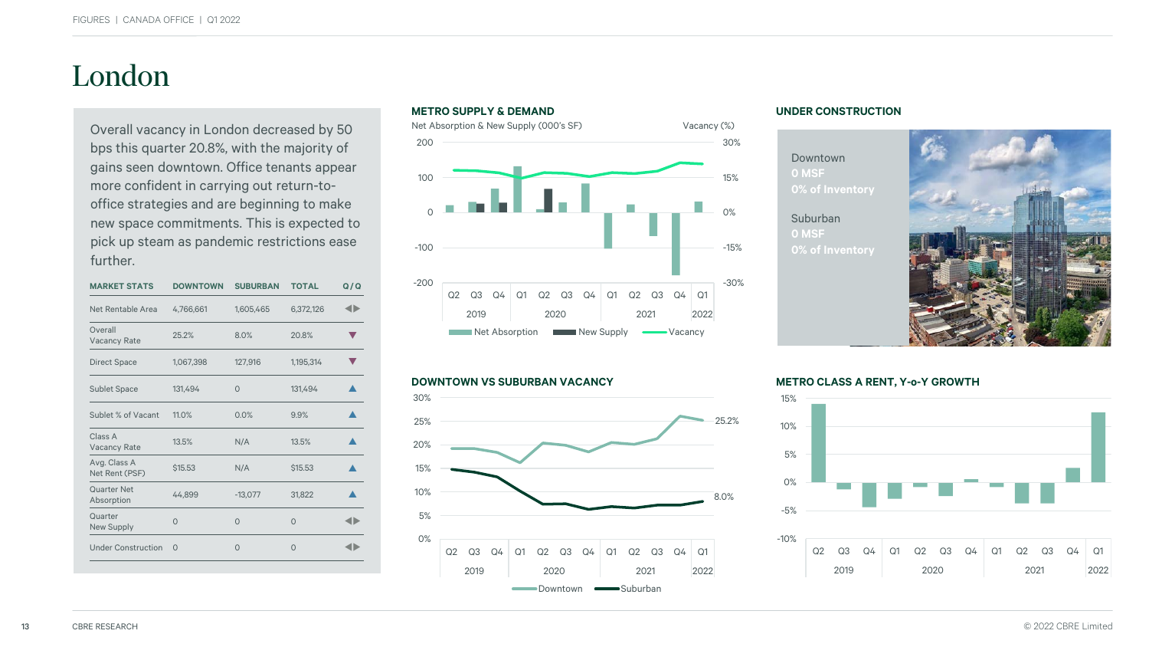## London

Overall vacancy in London decreased by 50 bps this quarter 20.8%, with the majority of gains seen downtown. Office tenants appear more confident in carrying out return-tooffice strategies and are beginning to make new space commitments. This is expected to pick up steam as pandemic restrictions ease further.

| <b>MARKET STATS</b>            | <b>DOWNTOWN</b> | <b>SUBURBAN</b> | <b>TOTAL</b> | Q/Q |
|--------------------------------|-----------------|-----------------|--------------|-----|
| Net Rentable Area              | 4,766,661       | 1,605,465       | 6,372,126    |     |
| Overall<br><b>Vacancy Rate</b> | 25.2%           | 8.0%            | 20.8%        |     |
| <b>Direct Space</b>            | 1,067,398       | 127,916         | 1,195,314    |     |
| <b>Sublet Space</b>            | 131.494         | $\Omega$        | 131.494      |     |
| Sublet % of Vacant             | 11.0%           | 0.0%            | 9.9%         |     |
| Class A<br><b>Vacancy Rate</b> | 13.5%           | N/A             | 13.5%        |     |
| Avg. Class A<br>Net Rent (PSF) | \$15.53         | N/A             | \$15.53      |     |
| Quarter Net<br>Absorption      | 44,899          | $-13,077$       | 31,822       |     |
| Quarter<br><b>New Supply</b>   | $\Omega$        | $\Omega$        | $\Omega$     |     |
| <b>Under Construction</b>      | $\Omega$        | $\Omega$        | $\Omega$     |     |
|                                |                 |                 |              |     |





#### **UNDER CONSTRUCTION**

Downtown **0 MSF**

### Suburban **0 MSF**



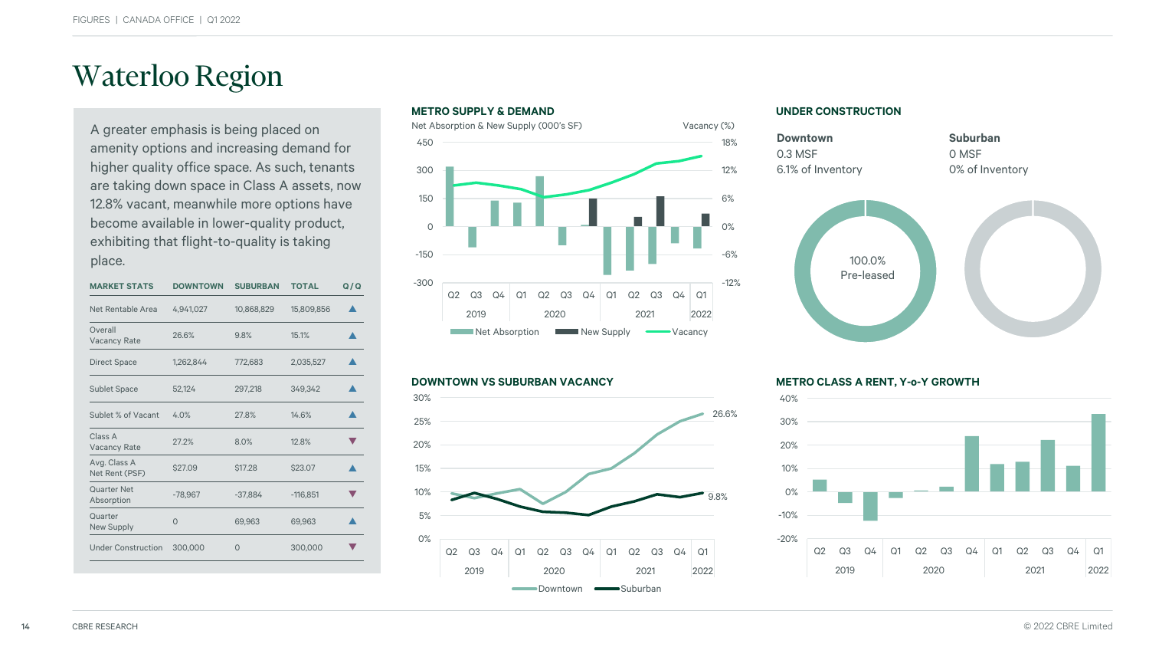## Waterloo Region

A greater emphasis is being placed on amenity options and increasing demand for higher quality office space. As such, tenants are taking down space in Class A assets, now 12.8% vacant, meanwhile more options have become available in lower-quality product, exhibiting that flight-to-quality is taking place.

| <b>MARKET STATS</b>            | <b>DOWNTOWN</b> | <b>SUBURBAN</b> | <b>TOTAL</b> | Q/Q |
|--------------------------------|-----------------|-----------------|--------------|-----|
| Net Rentable Area              | 4,941,027       | 10,868,829      | 15,809,856   |     |
| Overall<br><b>Vacancy Rate</b> | 26.6%           | 9.8%            | 15.1%        |     |
| <b>Direct Space</b>            | 1,262,844       | 772,683         | 2,035,527    |     |
| <b>Sublet Space</b>            | 52,124          | 297,218         | 349,342      |     |
| Sublet % of Vacant             | 4.0%            | 27.8%           | 14.6%        |     |
| Class A<br><b>Vacancy Rate</b> | 27.2%           | 8.0%            | 12.8%        |     |
| Avg. Class A<br>Net Rent (PSF) | \$27.09         | \$17.28         | \$23.07      |     |
| Quarter Net<br>Absorption      | $-78,967$       | $-37,884$       | $-116,851$   |     |
| Quarter<br><b>New Supply</b>   | $\Omega$        | 69,963          | 69,963       |     |
| <b>Under Construction</b>      | 300,000         | $\Omega$        | 300,000      |     |
|                                |                 |                 |              |     |





#### **UNDER CONSTRUCTION**



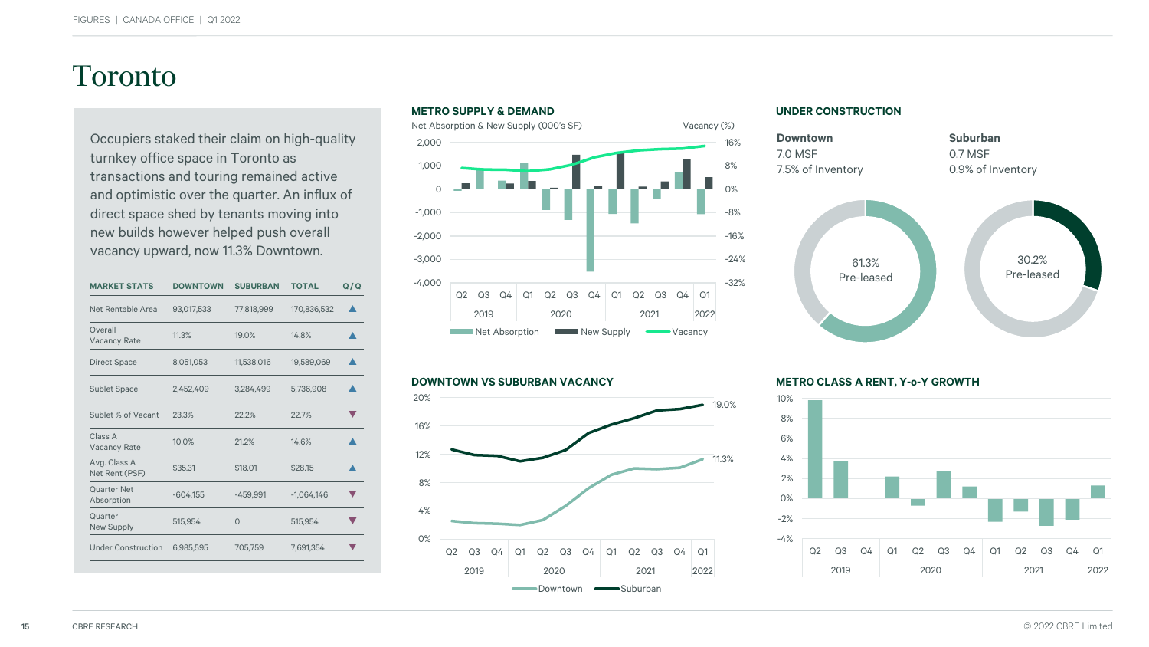### Toronto

Occupiers staked their claim on high-quality turnkey office space in Toronto as transactions and touring remained active and optimistic over the quarter. An influx of direct space shed by tenants moving into new builds however helped push overall vacancy upward, now 11.3% Downtown.

| <b>MARKET STATS</b>            | <b>DOWNTOWN</b> | <b>SUBURBAN</b> | <b>TOTAL</b> | Q/Q |
|--------------------------------|-----------------|-----------------|--------------|-----|
| Net Rentable Area              | 93,017,533      | 77,818,999      | 170,836,532  |     |
| Overall<br><b>Vacancy Rate</b> | 11.3%           | 19.0%           | 14.8%        |     |
| <b>Direct Space</b>            | 8,051,053       | 11,538,016      | 19,589,069   |     |
| <b>Sublet Space</b>            | 2,452,409       | 3,284,499       | 5,736,908    |     |
| Sublet % of Vacant             | 23.3%           | 22.2%           | 22.7%        |     |
| Class A<br><b>Vacancy Rate</b> | 10.0%           | 21.2%           | 14.6%        |     |
| Avg. Class A<br>Net Rent (PSF) | \$35.31         | \$18.01         | \$28.15      |     |
| Quarter Net<br>Absorption      | $-604,155$      | $-459,991$      | $-1,064,146$ |     |
| Quarter<br><b>New Supply</b>   | 515.954         | $\Omega$        | 515.954      |     |
| <b>Under Construction</b>      | 6,985,595       | 705,759         | 7,691,354    |     |
|                                |                 |                 |              |     |





#### **UNDER CONSTRUCTION**



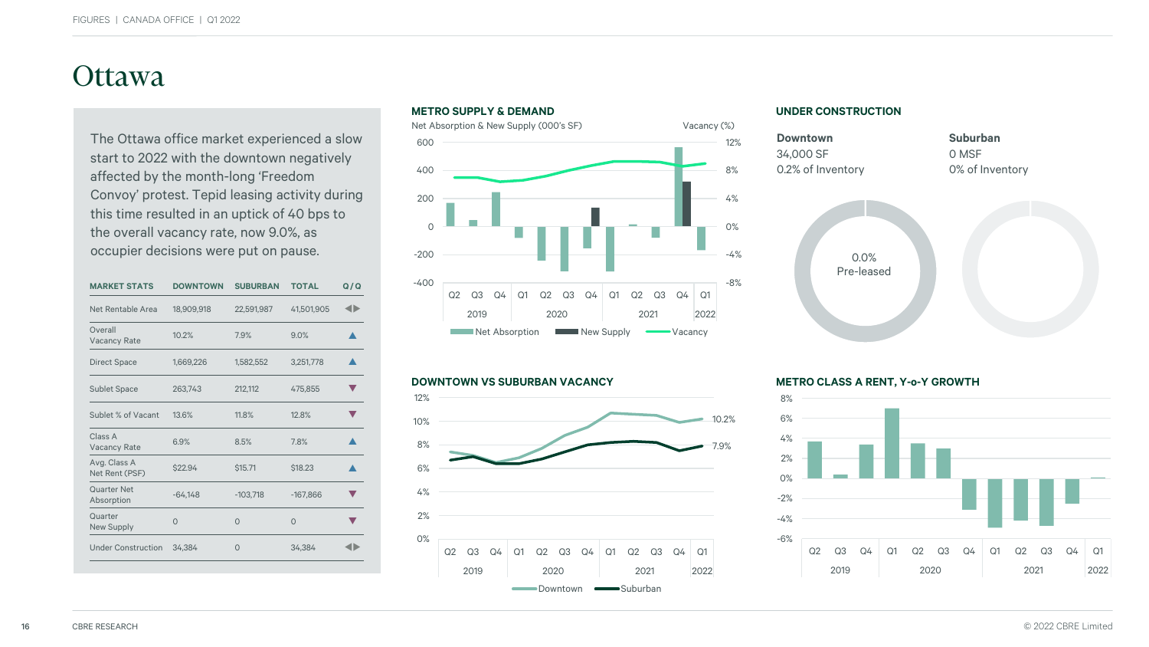### **Ottawa**

The Ottawa office market experienced a slow start to 2022 with the downtown negatively affected by the month-long 'Freedom Convoy' protest. Tepid leasing activity during this time resulted in an uptick of 40 bps to the overall vacancy rate, now 9.0%, as occupier decisions were put on pause.

| <b>MARKET STATS</b>            | <b>DOWNTOWN</b> | <b>SUBURBAN</b> | <b>TOTAL</b> | Q/Q |
|--------------------------------|-----------------|-----------------|--------------|-----|
| <b>Net Rentable Area</b>       | 18,909,918      | 22,591,987      | 41,501,905   | ◢Ŋ  |
| Overall<br><b>Vacancy Rate</b> | 10.2%           | 7.9%            | 9.0%         |     |
| <b>Direct Space</b>            | 1,669,226       | 1,582,552       | 3,251,778    |     |
| <b>Sublet Space</b>            | 263,743         | 212,112         | 475,855      |     |
| Sublet % of Vacant             | 13.6%           | 11.8%           | 12.8%        |     |
| Class A<br><b>Vacancy Rate</b> | 6.9%            | 8.5%            | 7.8%         |     |
| Avg. Class A<br>Net Rent (PSF) | \$22.94         | \$15.71         | \$18.23      |     |
| Quarter Net<br>Absorption      | $-64,148$       | $-103,718$      | $-167,866$   |     |
| Quarter<br>New Supply          | $\Omega$        | $\Omega$        | $\Omega$     |     |
| <b>Under Construction</b>      | 34,384          | 0               | 34,384       |     |
|                                |                 |                 |              |     |





**UNDER CONSTRUCTION**



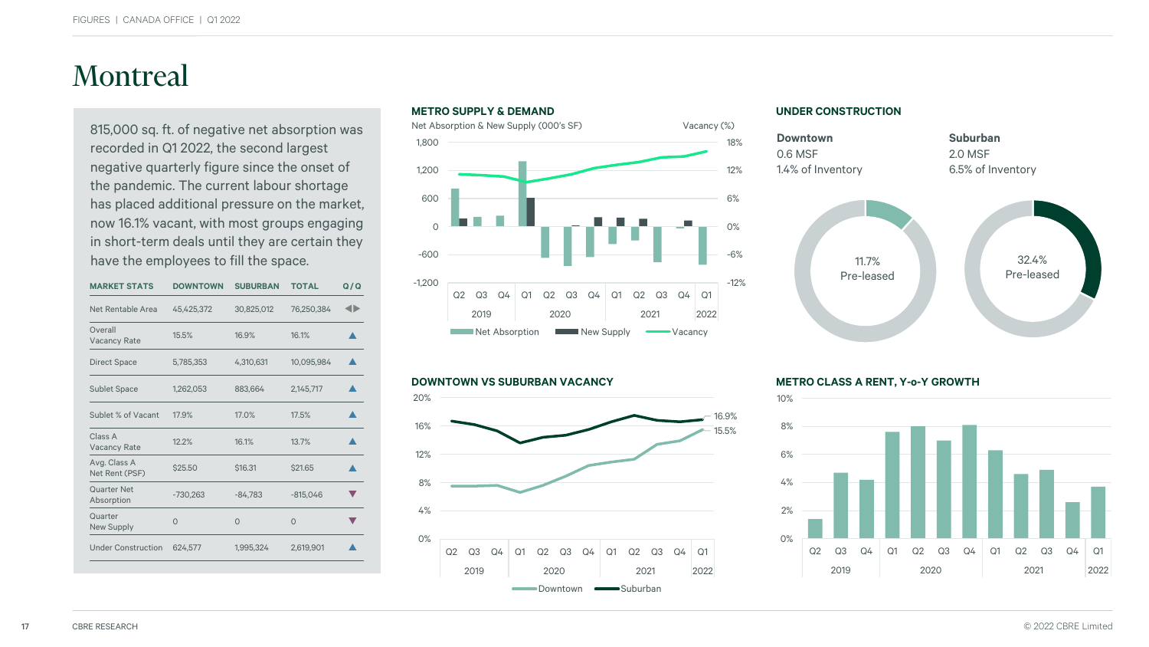## Montreal

815,000 sq. ft. of negative net absorption was recorded in Q1 2022, the second largest negative quarterly figure since the onset of the pandemic. The current labour shortage has placed additional pressure on the market, now 16.1% vacant, with most groups engaging in short-term deals until they are certain they have the employees to fill the space.

| <b>MARKET STATS</b>            | <b>DOWNTOWN</b> | <b>SUBURBAN</b> | <b>TOTAL</b> | Q/Q |
|--------------------------------|-----------------|-----------------|--------------|-----|
| Net Rentable Area              | 45,425,372      | 30,825,012      | 76,250,384   | ◀▶  |
| Overall<br><b>Vacancy Rate</b> | 15.5%           | 16.9%           | 16.1%        |     |
| <b>Direct Space</b>            | 5,785,353       | 4,310,631       | 10,095,984   |     |
| <b>Sublet Space</b>            | 1,262,053       | 883,664         | 2,145,717    |     |
| Sublet % of Vacant             | 17.9%           | 17.0%           | 17.5%        |     |
| Class A<br><b>Vacancy Rate</b> | 12.2%           | 16.1%           | 13.7%        |     |
| Avg. Class A<br>Net Rent (PSF) | \$25.50         | \$16.31         | \$21.65      |     |
| Quarter Net<br>Absorption      | $-730,263$      | $-84,783$       | $-815,046$   |     |
| Quarter<br><b>New Supply</b>   | $\Omega$        | $\Omega$        | $\Omega$     |     |
| <b>Under Construction</b>      | 624,577         | 1,995,324       | 2,619,901    |     |
|                                |                 |                 |              |     |





#### **UNDER CONSTRUCTION**



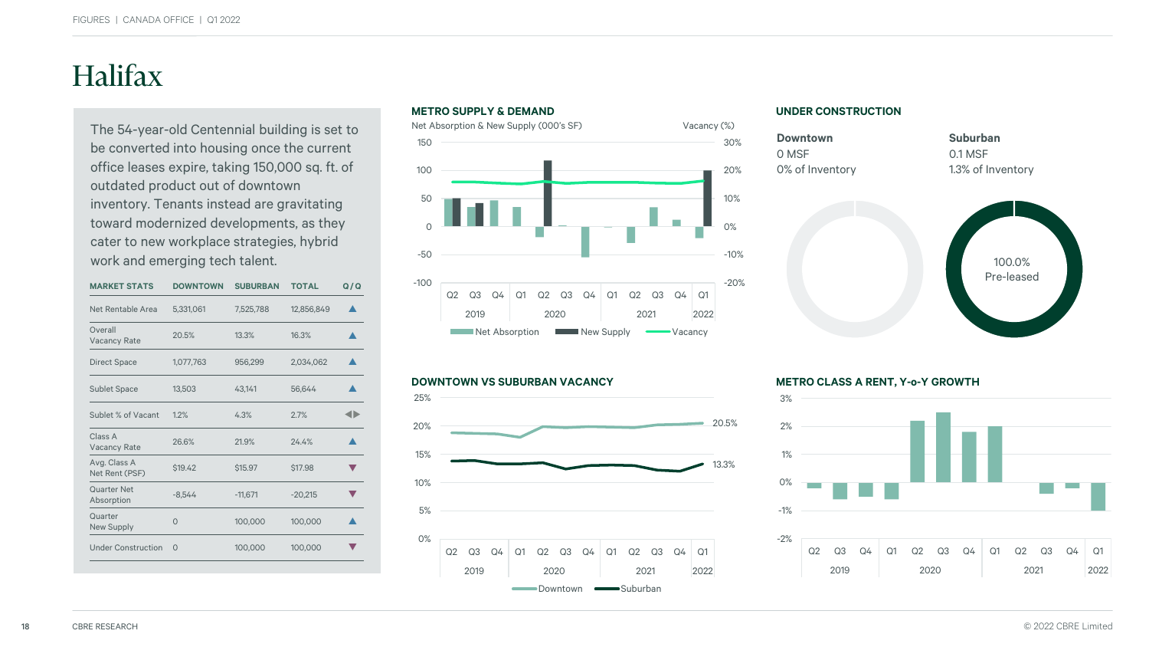## Halifax

The 54-year-old Centennial building is set to be converted into housing once the current office leases expire, taking 150,000 sq. ft. of outdated product out of downtown inventory. Tenants instead are gravitating toward modernized developments, as they cater to new workplace strategies, hybrid work and emerging tech talent.

| <b>MARKET STATS</b>            | <b>DOWNTOWN</b> | <b>SUBURBAN</b> | <b>TOTAL</b> | Q/Q |
|--------------------------------|-----------------|-----------------|--------------|-----|
| Net Rentable Area              | 5,331,061       | 7,525,788       | 12,856,849   |     |
| Overall<br><b>Vacancy Rate</b> | 20.5%           | 13.3%           | 16.3%        |     |
| <b>Direct Space</b>            | 1,077,763       | 956,299         | 2,034,062    |     |
| <b>Sublet Space</b>            | 13,503          | 43,141          | 56,644       |     |
| Sublet % of Vacant             | 1.2%            | 4.3%            | 2.7%         |     |
| Class A<br><b>Vacancy Rate</b> | 26.6%           | 21.9%           | 24.4%        |     |
| Avg. Class A<br>Net Rent (PSF) | \$19.42         | \$15.97         | \$17.98      |     |
| Quarter Net<br>Absorption      | $-8.544$        | $-11,671$       | $-20,215$    |     |
| Quarter<br>New Supply          | $\Omega$        | 100,000         | 100,000      |     |
| <b>Under Construction</b>      | $\Omega$        | 100,000         | 100,000      |     |
|                                |                 |                 |              |     |



#### **DOWNTOWN VS SUBURBAN VACANCY METRO CLASS A RENT, Y-o-Y GROWTH**



#### **UNDER CONSTRUCTION**



**Suburban** 0.1 MSF 1.3% of Inventory